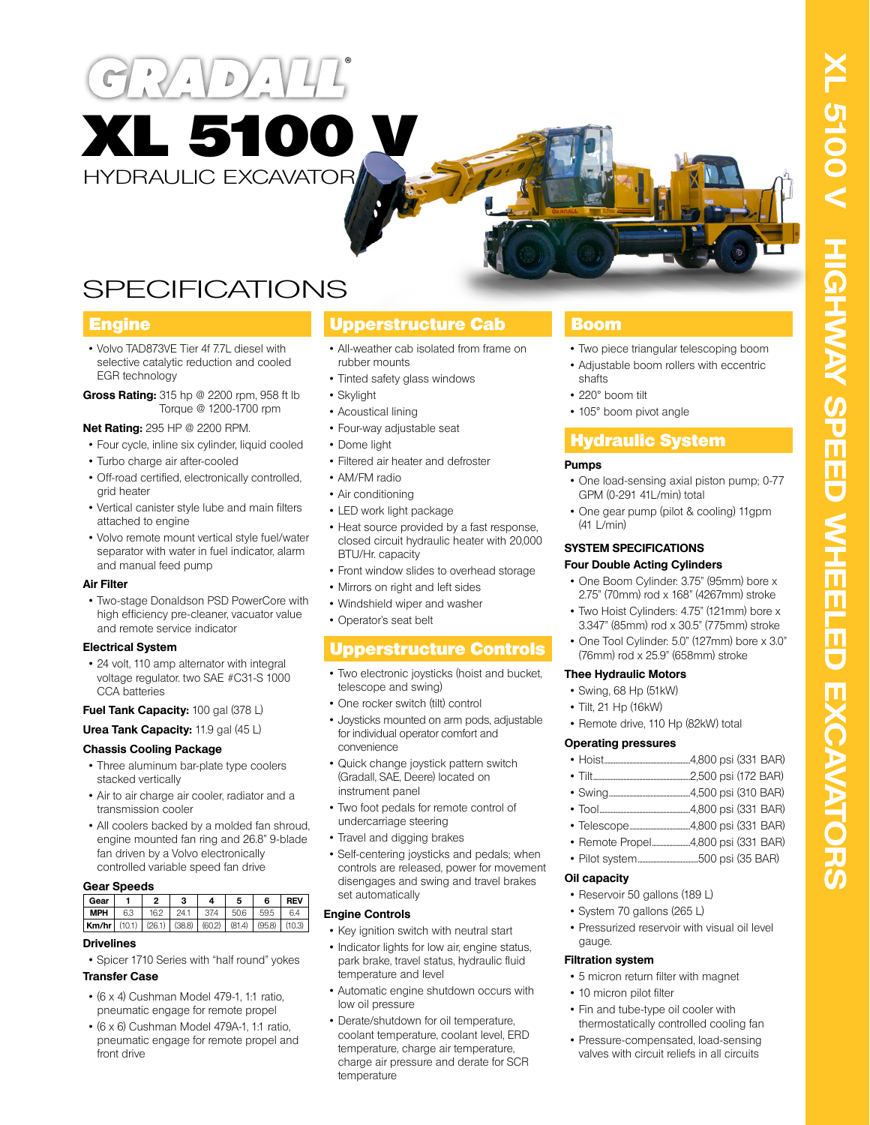



## **Engine**

- Volvo TAD873VE Tier 4f 7.7L diesel with selective catalytic reduction and cooled EGR technology
- **Gross Rating:** 315 hp @ 2200 rpm, 958 ft lb Torque @ 1200-1700 rpm

#### **Net Rating:** 295 HP @ 2200 RPM.

- Four cycle, inline six cylinder, liquid cooled
- Turbo charge air after-cooled
- Off-road certified, electronically controlled, grid heater
- Vertical canister style lube and main filters attached to engine
- Volvo remote mount vertical style fuel/water separator with water in fuel indicator, alarm and manual feed pump

#### **Air Filter**

• Two-stage Donaldson PSD PowerCore with high efficiency pre-cleaner, vacuator value and remote service indicator

#### **Electrical System**

• 24 volt, 110 amp alternator with integral voltage regulator. two SAE #C31-S 1000 CCA batteries

**Fuel Tank Capacity:** 100 gal (378 L)

#### **Urea Tank Capacity: 11.9 gal (45 L)**

#### **Chassis Cooling Package**

- Three aluminum bar-plate type coolers stacked vertically
- Air to air charge air cooler, radiator and a transmission cooler
- All coolers backed by a molded fan shroud, engine mounted fan ring and 26.8" 9-blade fan driven by a Volvo electronically controlled variable speed fan drive

#### **Gear Speeds**

| l Gear                |     |      |      |                                     | 5    | 6               | <b>REV</b> |
|-----------------------|-----|------|------|-------------------------------------|------|-----------------|------------|
| <b>MPH</b>            | 6.3 | 16.2 | 24.1 | 37.4                                | 50.6 | 59.5            | 64         |
| <b>Km/hr</b> $(10.1)$ |     |      |      | $(26.1)$ $(38.8)$ $(60.2)$ $(81.4)$ |      | $(95.8)$ (10.3) |            |

## **Drivelines**

• Spicer 1710 Series with "half round" yokes

# **Transfer Case**

- (6 x 4) Cushman Model 479-1, 1:1 ratio, pneumatic engage for remote propel
- (6 x 6) Cushman Model 479A-1, 1:1 ratio, pneumatic engage for remote propel and front drive

# Upperstructure Cab Boom

- All-weather cab isolated from frame on rubber mounts
- Tinted safety glass windows
- Skylight
- Acoustical lining
- Four-way adjustable seat
- Dome light
- Filtered air heater and defroster
- AM/FM radio
- Air conditioning
- LED work light package
- Heat source provided by a fast response, closed circuit hydraulic heater with 20,000 BTU/Hr. capacity
- Front window slides to overhead storage
- Mirrors on right and left sides
- Windshield wiper and washer
- Operator's seat belt

# Upperstructure Controls

- Two electronic joysticks (hoist and bucket, telescope and swing)
- One rocker switch (tilt) control
- Joysticks mounted on arm pods, adjustable for individual operator comfort and convenience
- Quick change joystick pattern switch (Gradall, SAE, Deere) located on instrument panel
- Two foot pedals for remote control of undercarriage steering
- Travel and digging brakes
- Self-centering joysticks and pedals; when controls are released, power for movement disengages and swing and travel brakes set automatically

### **Engine Controls**

- Key ignition switch with neutral start
- Indicator lights for low air, engine status, park brake, travel status, hydraulic fluid temperature and level
- Automatic engine shutdown occurs with low oil pressure
- Derate/shutdown for oil temperature, coolant temperature, coolant level, ERD temperature, charge air temperature, charge air pressure and derate for SCR temperature

- Two piece triangular telescoping boom
- Adjustable boom rollers with eccentric shafts
- 220° boom tilt
- 105° boom pivot angle

## Hydraulic System

#### **Pumps**

- One load-sensing axial piston pump; 0-77 GPM (0-291 41L/min) total
- One gear pump (pilot & cooling) 11gpm (41 L/min)

## **SYSTEM SPECIFICATIONS**

### **Four Double Acting Cylinders**

- One Boom Cylinder: 3.75" (95mm) bore x 2.75" (70mm) rod x 168" (4267mm) stroke
- Two Hoist Cylinders: 4.75" (121mm) bore x 3.347" (85mm) rod x 30.5" (775mm) stroke
- One Tool Cylinder: 5.0" (127mm) bore x 3.0" (76mm) rod x 25.9" (658mm) stroke

### **Thee Hydraulic Motors**

- Swing, 68 Hp (51kW)
- Tilt, 21 Hp (16kW)
- Remote drive, 110 Hp (82kW) total

- Hoist......................................................4,800 psi (331 BAR)
- Tilt.............................................................2,500 psi (172 BAR)
- Swing...................................................4,500 psi (310 BAR)
- Tool.........................................................4,800 psi (331 BAR)
- Telescope......................................4,800 psi (331 BAR)
- Remote Propel........................4,800 psi (331 BAR)
- Pilot system......................................500 psi (35 BAR)

## **Oil capacity**

- Reservoir 50 gallons (189 L)
- System 70 gallons (265 L)
- Pressurized reservoir with visual oil level gauge.

#### **Filtration system**

- 5 micron return filter with magnet
- 10 micron pilot filter
- Fin and tube-type oil cooler with thermostatically controlled cooling fan
- Pressure-compensated, load-sensing valves with circuit reliefs in all circuits

# **Operating pressures**

- 
- 
- 
-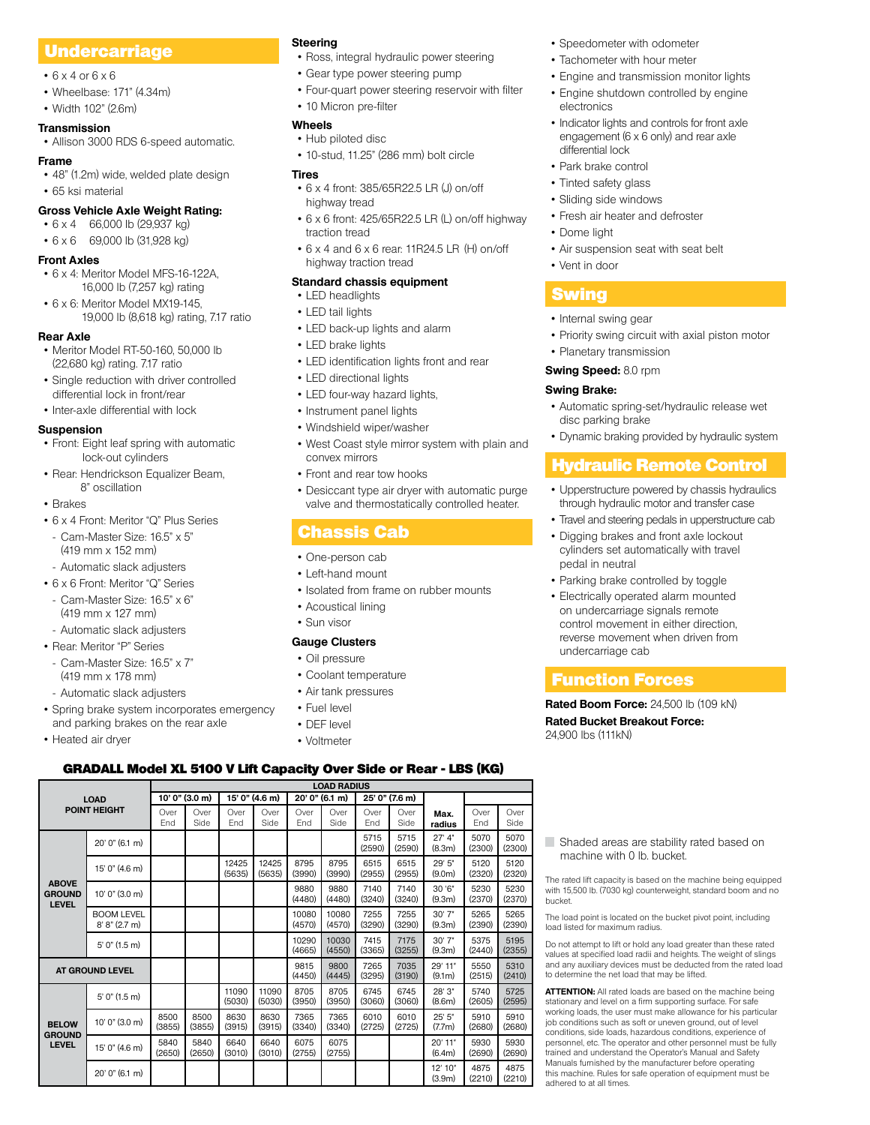# **Undercarriage**

- 6 x 4 or 6 x 6
- Wheelbase: 171" (4.34m)
- Width 102" (2.6m)

## **Transmission**

• Allison 3000 RDS 6-speed automatic.

## **Frame**

• 48" (1.2m) wide, welded plate design

• 65 ksi material

## **Gross Vehicle Axle Weight Rating:**

- 6 x 4 66,000 lb (29,937 kg) • 6 x 6 69,000 lb (31,928 kg)
- 
- **Front Axles**
- 6 x 4: Meritor Model MFS-16-122A, 16,000 lb (7,257 kg) rating
- 6 x 6: Meritor Model MX19-145, 19,000 lb (8,618 kg) rating, 7.17 ratio

### **Rear Axle**

- Meritor Model RT-50-160, 50,000 lb (22,680 kg) rating. 7.17 ratio
- Single reduction with driver controlled differential lock in front/rear
- Inter-axle differential with lock

## **Suspension**

- Front: Eight leaf spring with automatic lock-out cylinders
- Rear: Hendrickson Equalizer Beam, 8" oscillation
- Brakes
- 6 x 4 Front: Meritor "Q" Plus Series
- Cam-Master Size: 16.5" x 5" (419 mm x 152 mm)
- Automatic slack adjusters
- 6 x 6 Front: Meritor "Q" Series Cam-Master Size: 16.5" x 6"
- (419 mm x 127 mm) - Automatic slack adjusters
- Rear: Meritor "P" Series
- Cam-Master Size: 16.5" x 7" (419 mm x 178 mm)
- 
- Automatic slack adjusters
- Spring brake system incorporates emergency and parking brakes on the rear axle
- Heated air dryer

## **Steering**

- Ross, integral hydraulic power steering
- Gear type power steering pump
- Four-quart power steering reservoir with filter
- 10 Micron pre-filter

## **Wheels**

• Hub piloted disc • 10-stud, 11.25" (286 mm) bolt circle

## **Tires**

- 6 x 4 front: 385/65R22.5 LR (J) on/off highway tread
- 6 x 6 front: 425/65R22.5 LR (L) on/off highway traction tread
- 6 x 4 and 6 x 6 rear: 11R24.5 LR (H) on/off highway traction tread

## **Standard chassis equipment**

- LED headlights
- LED tail lights
- LED back-up lights and alarm
- LED brake lights
- LED identification lights front and rear
- LED directional lights
- LED four-way hazard lights.
- Instrument panel lights
- Windshield wiper/washer
- West Coast style mirror system with plain and convex mirrors
- Front and rear tow hooks
- Desiccant type air dryer with automatic purge valve and thermostatically controlled heater.

# Chassis Cab

- One-person cab
- Left-hand mount
- Isolated from frame on rubber mounts
- Acoustical lining
- Sun visor

## **Gauge Clusters**

- Oil pressure
- Coolant temperature
- Air tank pressures

**LOAD RADIUS**

- Fuel level
- DEF level
- Voltmeter
- Speedometer with odometer
- Tachometer with hour meter
- Engine and transmission monitor lights
- Engine shutdown controlled by engine electronics
- Indicator lights and controls for front axle engagement (6 x 6 only) and rear axle differential lock
- Park brake control
- Tinted safety glass
- Sliding side windows
- Fresh air heater and defroster
- Dome light
- Air suspension seat with seat belt
- Vent in door

# Swing

- Internal swing gear
- Priority swing circuit with axial piston motor
- Planetary transmission

## **Swing Speed:** 8.0 rpm

## **Swing Brake:**

- Automatic spring-set/hydraulic release wet disc parking brake
- Dynamic braking provided by hydraulic system

# Hydraulic Remote Control

- Upperstructure powered by chassis hydraulics through hydraulic motor and transfer case
- Travel and steering pedals in upperstructure cab
- Digging brakes and front axle lockout cylinders set automatically with travel pedal in neutral
- Parking brake controlled by toggle
- Electrically operated alarm mounted on undercarriage signals remote control movement in either direction, reverse movement when driven from undercarriage cab

# Function Forces

bucket.

load listed for maximum radius.

adhered to at all times.

to determine the net load that may be lifted.

machine with 0 lb. bucket.

**Rated Boom Force:** 24,500 lb (109 kN) **Rated Bucket Breakout Force:**  24,900 lbs (111kN)

The rated lift capacity is based on the machine being equipped with 15,500 lb. (7030 kg) counterweight, standard boom and no

Shaded areas are stability rated based on

The load point is located on the bucket pivot point, including

Do not attempt to lift or hold any load greater than these rated values at specified load radii and heights. The weight of slings and any auxiliary devices must be deducted from the rated load

**ATTENTION:** All rated loads are based on the machine being stationary and level on a firm supporting surface. For safe working loads, the user must make allowance for his particular job conditions such as soft or uneven ground, out of level conditions, side loads, hazardous conditions, experience of personnel, etc. The operator and other personnel must be fully trained and understand the Operator's Manual and Safety Manuals furnished by the manufacturer before operating this machine. Rules for safe operation of equipment must be

#### **LOAD POINT HEIGHT 10' 0" (3.0 m) 15' 0" (4.6 m) 20' 0" (6.1 m) 25' 0" (7.6 m) Max. radius** Over End Over Side Ove End Over Side Over End Over Side Over End Over Side Ove End Over Side **ABOVE GROUND LEVEL** 20' 0" (6.1 m) <sup>5715</sup> (2590) 5715 (2590) 27' 4" (8.3m) 5070 (2300) 5070 (2300) 15' 0" (4.6 m) <sup>12425</sup> (5635) 12425 (5635) 8795 (3990) 8795 (3990) 6515 (2955) 6515 (2955) 29' 5" (9.0m) 5120 (2320) 5120 (2320) 10' 0" (3.0 m) 9880  $(1180)$ 9880 (4480) 7140 (3240) 7140 (3240) 30 '6" (9.3m) 5230 (2370) 5230 (2370) BOOM LEVEL  $8' 8'' (27 m)$ 10080 (4570) 10080 (4570) 7255 (3290) 7255 (3290) 30' 7" (9.3m) 5265 (2390) 5265 (2390)  $5'$  0" (1.5 m) 10290<br>(4665) 10030 (4550) 7415 (3365) 7175 (3255) 30' 7" (9.3m) 5375 (2440) 5195 (2355) **AT GROUND LEVEL AT GROUND LEVEL**  $(4450)$ 9800  $(4445)$ 7265 (3295) 7035 (3190) 29' 11"  $(9.1m)$ 5550 (2515) 5310  $(2410)$ **BELOW GROUND LEVEL** 5' 0" (1.5 m) <sup>11090</sup> (5030) 11090 (5030) 8705 (3950) 8705 (3950) 6745 (3060) 6745 (3060) 28' 3" (8.6m) 5740 (2605) 5725 (2595)  $10'$  0" (3.0 m)  $8500$ (3855) 8500 (3855) 8630 (3915) 8630 (3915) 7365 (3340) 7365 (3340) 6010 (2725) 6010 (2725) 25' 5" (7.7m) 5910 (2680) 5910 (2680)  $15'$  0" (4.6 m) 5840 (2650) 5840 (2650) 6640 (3010) 6640 (3010) 6075 (2755) 6075 (2755) 20' 11" (6.4m) 5930 (2690) 5930 (2690)  $20' 0'' (6.1 m)$  12' 10" (3.9m) 4875 (2210) 4875 (2210)

GRADALL Model XL 5100 V Lift Capacity Over Side or Rear - LBS (KG)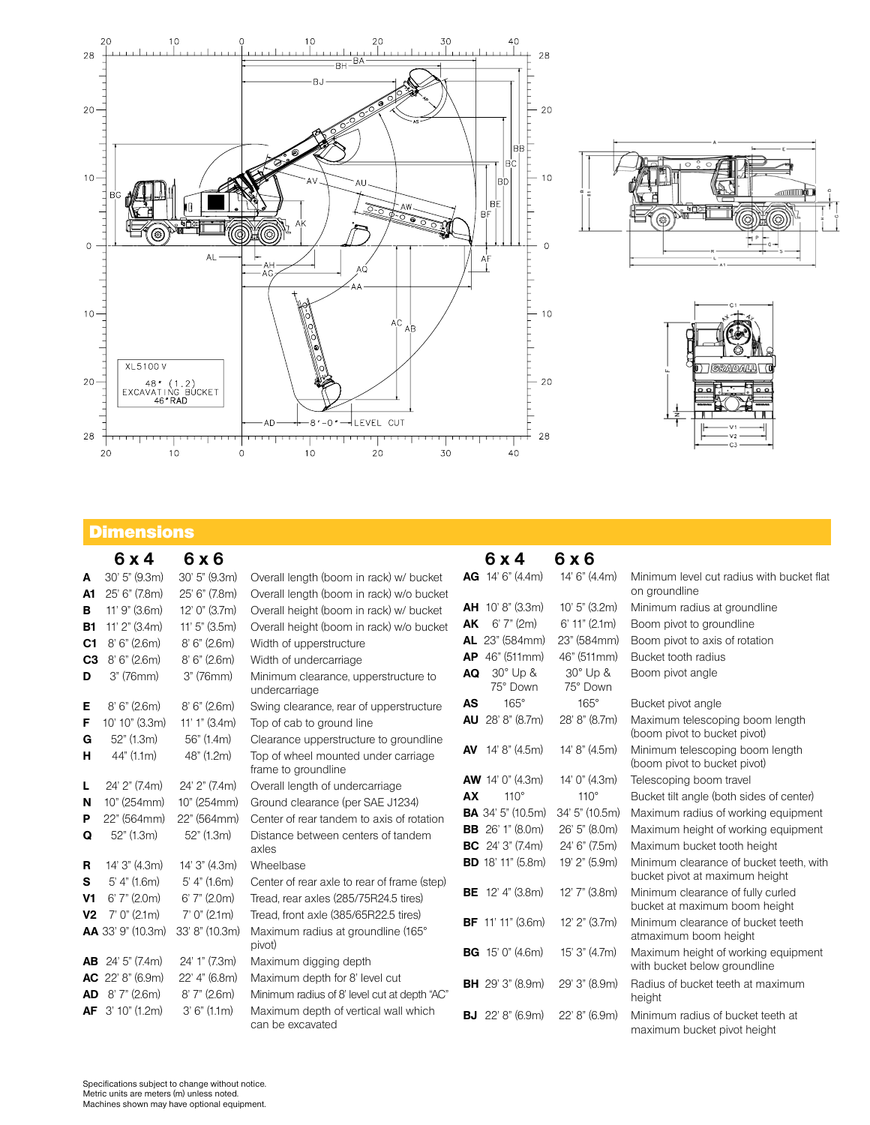

# **Dimensions**

|                | 6x4                                | 6x6                          |                                                                                |           | 6x4                             | 6x6                  |                                                                     |
|----------------|------------------------------------|------------------------------|--------------------------------------------------------------------------------|-----------|---------------------------------|----------------------|---------------------------------------------------------------------|
| A              | 30' 5" (9.3m)                      | 30' 5" (9.3m)                | Overall length (boom in rack) w/ bucket                                        |           | $AG$ 14' 6" (4.4m)              | 14' 6" (4.4m)        | Minimum level cut radius with bucket flat                           |
| A1             | 25' 6" (7.8m)                      | 25' 6" (7.8m)                | Overall length (boom in rack) w/o bucket                                       |           |                                 |                      | on groundline                                                       |
| в              | $11'$ 9" (3.6m)                    | 12' 0" (3.7m)                | Overall height (boom in rack) w/ bucket                                        |           | <b>AH</b> 10' 8" (3.3m)         | 10' 5" (3.2m)        | Minimum radius at groundline                                        |
| B1             | 11' 2" (3.4m)                      | 11'5'' (3.5m)                | Overall height (boom in rack) w/o bucket                                       | AK        | 6'7''(2m)                       | $6'$ 11" (2.1m)      | Boom pivot to groundline                                            |
| C1             | 8'6''(2.6m)                        | 8' 6" (2.6m)                 | Width of upperstructure                                                        |           | AL 23" (584mm)                  | 23" (584mm)          | Boom pivot to axis of rotation                                      |
| C <sub>3</sub> | 8'6''(2.6m)                        | $8'$ 6" (2.6m)               | Width of undercarriage                                                         | <b>AP</b> | 46" (511mm)                     | 46" (511mm)          | Bucket tooth radius                                                 |
| D              | 3" (76mm)                          | 3" (76mm)                    | Minimum clearance, upperstructure to<br>undercarriage                          | AQ        | 30° Up &<br>75° Down            | 30° Up &<br>75° Down | Boom pivot angle                                                    |
| Е              | 8'6'' (2.6m)                       | $8'$ 6" (2.6m)               | Swing clearance, rear of upperstructure                                        | AS        | $165^\circ$                     | $165^\circ$          | Bucket pivot angle                                                  |
| F<br>G         | 10' 10" (3.3m)<br>52" (1.3m)       | 11' 1'' (3.4m)<br>56" (1.4m) | Top of cab to ground line<br>Clearance upperstructure to groundline            |           | <b>AU</b> 28' 8" (8.7m)         | 28' 8" (8.7m)        | Maximum telescoping boom length<br>(boom pivot to bucket pivot)     |
| н              | 44" (1.1m)                         | 48" (1.2m)                   | Top of wheel mounted under carriage<br>frame to groundline                     |           | <b>AV</b> $14' 8'' (4.5m)$      | 14' 8" (4.5m)        | Minimum telescoping boom length<br>(boom pivot to bucket pivot)     |
| L              | 24' 2" (7.4m)                      | 24' 2" (7.4m)                | Overall length of undercarriage                                                |           | <b>AW</b> 14' 0" (4.3m)         | 14' 0" (4.3m)        | Telescoping boom travel                                             |
| N              | 10" (254mm)                        | 10" (254mm)                  | Ground clearance (per SAE J1234)                                               | AX        | $110^\circ$                     | $110^\circ$          | Bucket tilt angle (both sides of center)                            |
| P              | 22" (564mm)                        | 22" (564mm)                  | Center of rear tandem to axis of rotation                                      |           | <b>BA</b> 34' 5" (10.5m)        | 34' 5" (10.5m)       | Maximum radius of working equipment                                 |
| Q              | 52" (1.3m)                         | 52" (1.3m)                   | Distance between centers of tandem                                             |           | <b>BB</b> 26' 1" (8.0m)         | 26' 5" (8.0m)        | Maximum height of working equipment                                 |
|                |                                    |                              | axles                                                                          |           | <b>BC</b> $24'3'' (7.4m)$       | 24' 6" (7.5m)        | Maximum bucket tooth height                                         |
| R              | 14' 3" (4.3m)                      | 14' 3" (4.3m)                | Wheelbase                                                                      |           | <b>BD</b> 18' 11" (5.8m)        | 19' 2" (5.9m)        | Minimum clearance of bucket teeth, with                             |
| s              | $5'$ 4" (1.6m)                     | $5'$ 4" (1.6m)               | Center of rear axle to rear of frame (step)                                    |           |                                 |                      | bucket pivot at maximum height                                      |
| V1             | 6'7'' (2.0m)                       | 6'7'' (2.0m)                 | Tread, rear axles (285/75R24.5 tires)                                          |           | <b>BE</b> 12' 4" (3.8m)         | 12' 7" (3.8m)        | Minimum clearance of fully curled<br>bucket at maximum boom height  |
| V <sub>2</sub> | $7'$ 0" (2.1m)                     | $7'$ 0" (2.1m)               | Tread, front axle (385/65R22.5 tires)                                          |           | <b>BF</b> $11'$ $11''$ $(3.6m)$ | 12' 2" (3.7m)        | Minimum clearance of bucket teeth                                   |
|                | AA 33' 9" (10.3m)                  | 33' 8" (10.3m)               | Maximum radius at groundline (165°                                             |           |                                 |                      | atmaximum boom height                                               |
|                | $AB$ 24' 5" (7.4m)                 | 24' 1" (7.3m)                | pivot)<br>Maximum digging depth                                                |           | <b>BG</b> $15'$ 0" $(4.6m)$     | 15' 3" (4.7m)        | Maximum height of working equipment<br>with bucket below groundline |
| AD             | $AC$ 22' 8" (6.9m)<br>8' 7" (2.6m) | 22' 4" (6.8m)<br>8'7''(2.6m) | Maximum depth for 8' level cut<br>Minimum radius of 8' level cut at depth "AC" |           | <b>BH</b> 29' 3" (8.9m)         | 29' 3" (8.9m)        | Radius of bucket teeth at maximum<br>height                         |
| AF.            | 3' 10" (1.2m)                      | 3' 6'' (1.1m)                | Maximum depth of vertical wall which<br>can be excavated                       |           | <b>BJ</b> 22' 8" (6.9m)         | 22' 8" (6.9m)        | Minimum radius of bucket teeth at<br>maximum bucket pivot height    |